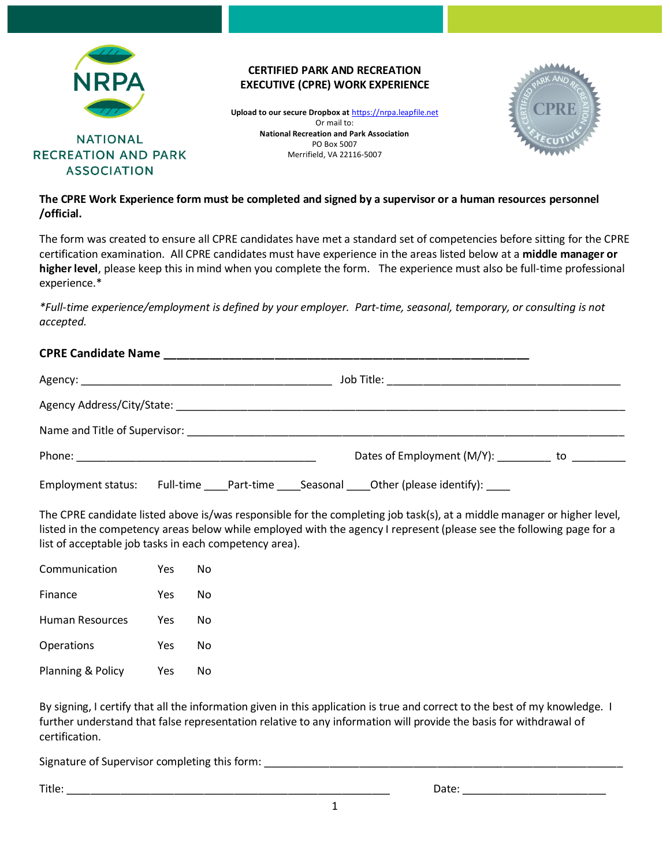

### **CERTIFIED PARK AND RECREATION EXECUTIVE (CPRE) WORK EXPERIENCE**

**Upload to our secure Dropbox at** [https://nrpa.leapfile.net](https://clicktime.symantec.com/352H5mchJL2yqnc78sGyhTy7Vc?u=https%3A%2F%2Fnrpa.leapfile.net) Or mail to: **National Recreation and Park Association** PO Box 5007 Merrifield, VA 22116-5007



## **The CPRE Work Experience form must be completed and signed by a supervisor or a human resources personnel /official.**

The form was created to ensure all CPRE candidates have met a standard set of competencies before sitting for the CPRE certification examination. All CPRE candidates must have experience in the areas listed below at a **middle manager or higher level**, please keep this in mind when you complete the form. The experience must also be full-time professional experience.\*

*\*Full-time experience/employment is defined by your employer. Part-time, seasonal, temporary, or consulting is not accepted.*

### **CPRE Candidate Name \_\_\_\_\_\_\_\_\_\_\_\_\_\_\_\_\_\_\_\_\_\_\_\_\_\_\_\_\_\_\_\_\_\_\_\_\_\_\_\_\_\_\_\_\_\_\_\_\_\_\_\_\_\_\_\_**

|                    | Dates of Employment (M/Y): __________ to ________                          |  |
|--------------------|----------------------------------------------------------------------------|--|
| Employment status: | Full-time _____Part-time _____Seasonal _____Other (please identify): _____ |  |

The CPRE candidate listed above is/was responsible for the completing job task(s), at a middle manager or higher level, listed in the competency areas below while employed with the agency I represent (please see the following page for a list of acceptable job tasks in each competency area).

| Communication     | Yes | N٥ |  |
|-------------------|-----|----|--|
| Finance           | Yes | N٥ |  |
| Human Resources   | Yes | N٥ |  |
| Operations        | Yes | N٥ |  |
| Planning & Policy | Yes | Nο |  |

By signing, I certify that all the information given in this application is true and correct to the best of my knowledge. I further understand that false representation relative to any information will provide the basis for withdrawal of certification.

Signature of Supervisor completing this form: \_\_\_\_\_\_\_\_\_\_\_\_\_\_\_\_\_\_\_\_\_\_\_\_\_\_\_\_\_\_\_\_\_\_

Title: \_\_\_\_\_\_\_\_\_\_\_\_\_\_\_\_\_\_\_\_\_\_\_\_\_\_\_\_\_\_\_\_\_\_\_\_\_\_\_\_\_\_\_\_\_\_\_\_\_\_\_\_\_\_ Date: \_\_\_\_\_\_\_\_\_\_\_\_\_\_\_\_\_\_\_\_\_\_\_\_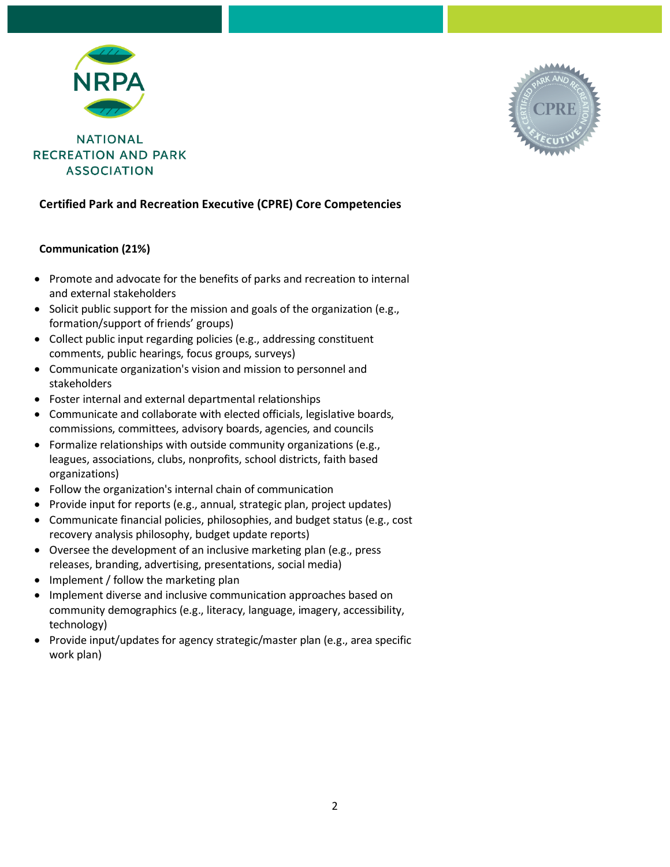



## **Certified Park and Recreation Executive (CPRE) Core Competencies**

### **Communication (21%)**

- Promote and advocate for the benefits of parks and recreation to internal and external stakeholders
- Solicit public support for the mission and goals of the organization (e.g., formation/support of friends' groups)
- Collect public input regarding policies (e.g., addressing constituent comments, public hearings, focus groups, surveys)
- Communicate organization's vision and mission to personnel and stakeholders
- Foster internal and external departmental relationships
- Communicate and collaborate with elected officials, legislative boards, commissions, committees, advisory boards, agencies, and councils
- Formalize relationships with outside community organizations (e.g., leagues, associations, clubs, nonprofits, school districts, faith based organizations)
- Follow the organization's internal chain of communication
- Provide input for reports (e.g., annual, strategic plan, project updates)
- Communicate financial policies, philosophies, and budget status (e.g., cost recovery analysis philosophy, budget update reports)
- Oversee the development of an inclusive marketing plan (e.g., press releases, branding, advertising, presentations, social media)
- Implement / follow the marketing plan
- Implement diverse and inclusive communication approaches based on community demographics (e.g., literacy, language, imagery, accessibility, technology)
- Provide input/updates for agency strategic/master plan (e.g., area specific work plan)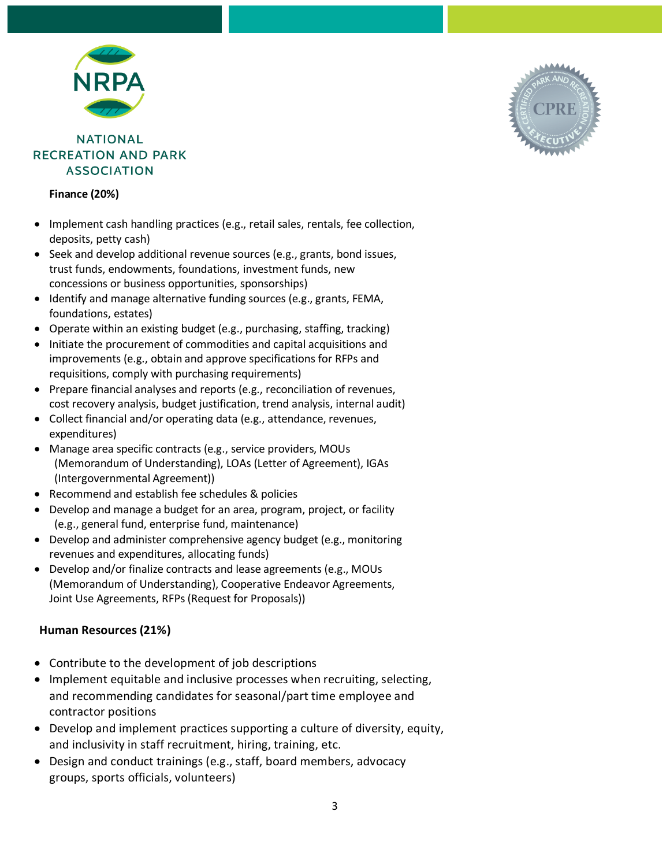

**Finance (20%)**

- Implement cash handling practices (e.g., retail sales, rentals, fee collection, deposits, petty cash)
- Seek and develop additional revenue sources (e.g., grants, bond issues, trust funds, endowments, foundations, investment funds, new concessions or business opportunities, sponsorships)
- Identify and manage alternative funding sources (e.g., grants, FEMA, foundations, estates)
- Operate within an existing budget (e.g., purchasing, staffing, tracking)
- Initiate the procurement of commodities and capital acquisitions and improvements (e.g., obtain and approve specifications for RFPs and requisitions, comply with purchasing requirements)
- Prepare financial analyses and reports (e.g., reconciliation of revenues, cost recovery analysis, budget justification, trend analysis, internal audit)
- Collect financial and/or operating data (e.g., attendance, revenues, expenditures)
- Manage area specific contracts (e.g., service providers, MOUs (Memorandum of Understanding), LOAs (Letter of Agreement), IGAs (Intergovernmental Agreement))
- Recommend and establish fee schedules & policies
- Develop and manage a budget for an area, program, project, or facility (e.g., general fund, enterprise fund, maintenance)
- Develop and administer comprehensive agency budget (e.g., monitoring revenues and expenditures, allocating funds)
- Develop and/or finalize contracts and lease agreements (e.g., MOUs (Memorandum of Understanding), Cooperative Endeavor Agreements, Joint Use Agreements, RFPs (Request for Proposals))

### **Human Resources (21%)**

- Contribute to the development of job descriptions
- Implement equitable and inclusive processes when recruiting, selecting, and recommending candidates for seasonal/part time employee and contractor positions
- Develop and implement practices supporting a culture of diversity, equity, and inclusivity in staff recruitment, hiring, training, etc.
- Design and conduct trainings (e.g., staff, board members, advocacy groups, sports officials, volunteers)

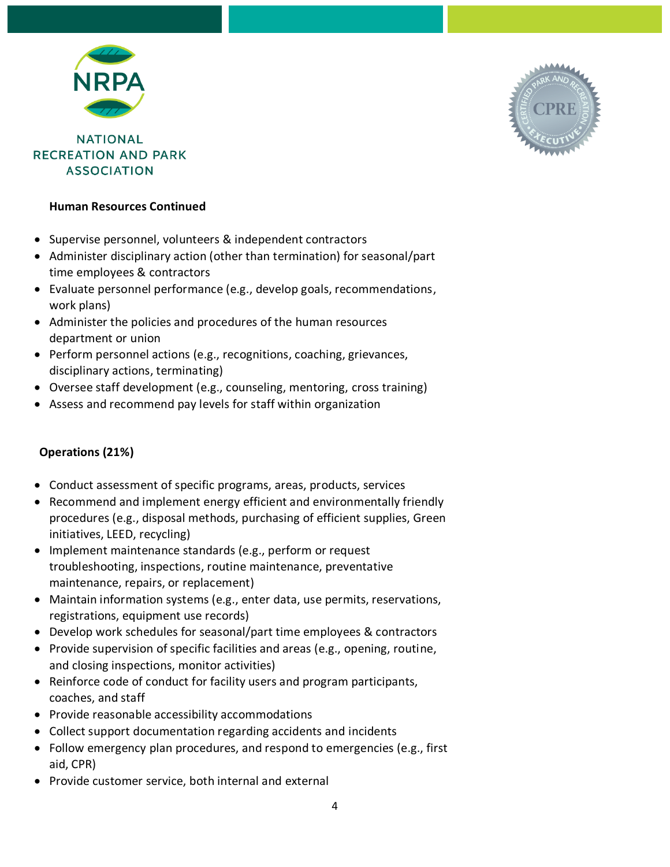

## **Human Resources Continued**

- Supervise personnel, volunteers & independent contractors
- Administer disciplinary action (other than termination) for seasonal/part time employees & contractors
- Evaluate personnel performance (e.g., develop goals, recommendations, work plans)
- Administer the policies and procedures of the human resources department or union
- Perform personnel actions (e.g., recognitions, coaching, grievances, disciplinary actions, terminating)
- Oversee staff development (e.g., counseling, mentoring, cross training)
- Assess and recommend pay levels for staff within organization

### **Operations (21%)**

- Conduct assessment of specific programs, areas, products, services
- Recommend and implement energy efficient and environmentally friendly procedures (e.g., disposal methods, purchasing of efficient supplies, Green initiatives, LEED, recycling)
- Implement maintenance standards (e.g., perform or request troubleshooting, inspections, routine maintenance, preventative maintenance, repairs, or replacement)
- Maintain information systems (e.g., enter data, use permits, reservations, registrations, equipment use records)
- Develop work schedules for seasonal/part time employees & contractors
- Provide supervision of specific facilities and areas (e.g., opening, routine, and closing inspections, monitor activities)
- Reinforce code of conduct for facility users and program participants, coaches, and staff
- Provide reasonable accessibility accommodations
- Collect support documentation regarding accidents and incidents
- Follow emergency plan procedures, and respond to emergencies (e.g., first aid, CPR)
- Provide customer service, both internal and external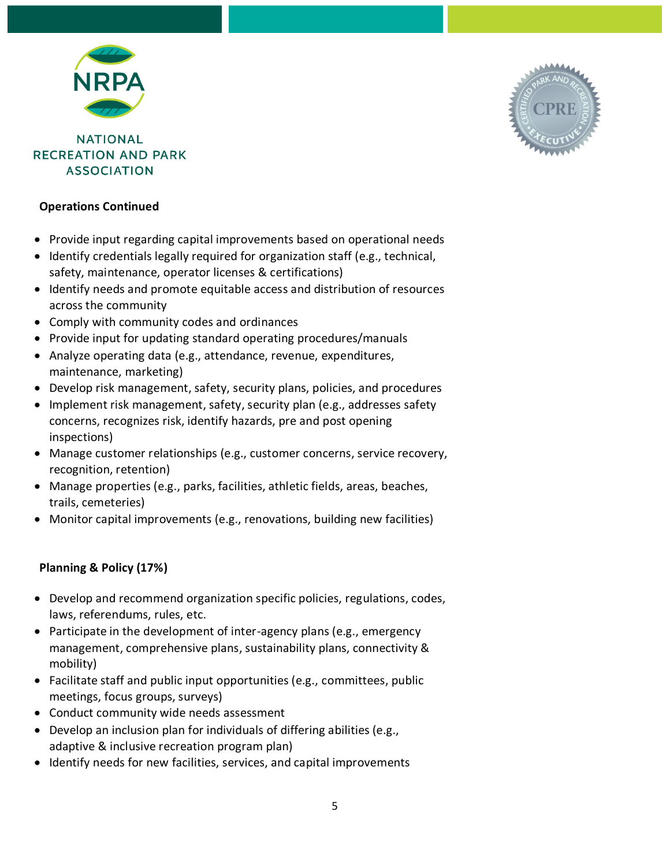

## **Operations Continued**

- Provide input regarding capital improvements based on operational needs
- Identify credentials legally required for organization staff (e.g., technical, safety, maintenance, operator licenses & certifications)
- Identify needs and promote equitable access and distribution of resources across the community
- Comply with community codes and ordinances
- Provide input for updating standard operating procedures/manuals
- Analyze operating data (e.g., attendance, revenue, expenditures, maintenance, marketing)
- Develop risk management, safety, security plans, policies, and procedures
- Implement risk management, safety, security plan (e.g., addresses safety concerns, recognizes risk, identify hazards, pre and post opening inspections)
- Manage customer relationships (e.g., customer concerns, service recovery, recognition, retention)
- Manage properties (e.g., parks, facilities, athletic fields, areas, beaches, trails, cemeteries)
- Monitor capital improvements (e.g., renovations, building new facilities)

# **Planning & Policy (17%)**

- Develop and recommend organization specific policies, regulations, codes, laws, referendums, rules, etc.
- Participate in the development of inter-agency plans (e.g., emergency management, comprehensive plans, sustainability plans, connectivity & mobility)
- Facilitate staff and public input opportunities (e.g., committees, public meetings, focus groups, surveys)
- Conduct community wide needs assessment
- Develop an inclusion plan for individuals of differing abilities (e.g., adaptive & inclusive recreation program plan)
- Identify needs for new facilities, services, and capital improvements